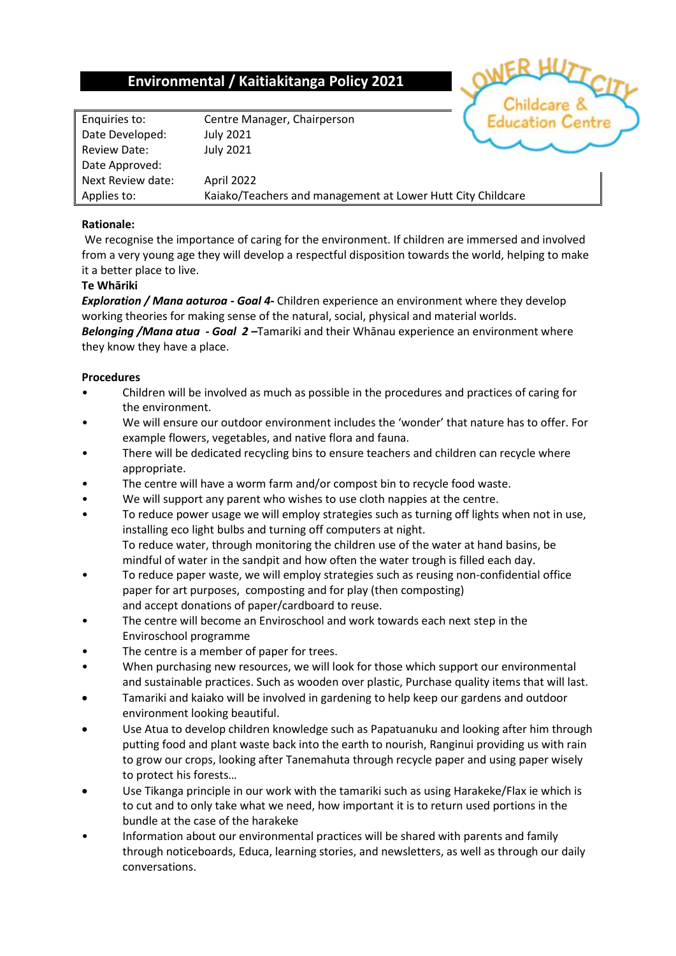## **Environmental / Kaitiakitanga Policy 2021**

Enquiries to: Centre Manager, Chairperson Date Developed: July 2021 Review Date: July 2021 Date Approved: Next Review date: April 2022

Applies to: Kaiako/Teachers and management at Lower Hutt City Childcare

## **Rationale:**

We recognise the importance of caring for the environment. If children are immersed and involved from a very young age they will develop a respectful disposition towards the world, helping to make it a better place to live.

## **Te Whāriki**

*Exploration / Mana aoturoa - Goal 4***-** Children experience an environment where they develop working theories for making sense of the natural, social, physical and material worlds. *Belonging /Mana atua - Goal 2 –*Tamariki and their Whānau experience an environment where they know they have a place.

## **Procedures**

- Children will be involved as much as possible in the procedures and practices of caring for the environment.
- We will ensure our outdoor environment includes the 'wonder' that nature has to offer. For example flowers, vegetables, and native flora and fauna.
- There will be dedicated recycling bins to ensure teachers and children can recycle where appropriate.
- The centre will have a worm farm and/or compost bin to recycle food waste.
- We will support any parent who wishes to use cloth nappies at the centre.
- To reduce power usage we will employ strategies such as turning off lights when not in use, installing eco light bulbs and turning off computers at night. To reduce water, through monitoring the children use of the water at hand basins, be mindful of water in the sandpit and how often the water trough is filled each day.
- To reduce paper waste, we will employ strategies such as reusing non-confidential office paper for art purposes, composting and for play (then composting) and accept donations of paper/cardboard to reuse.
- The centre will become an Enviroschool and work towards each next step in the Enviroschool programme
- The centre is a member of paper for trees.
- When purchasing new resources, we will look for those which support our environmental and sustainable practices. Such as wooden over plastic, Purchase quality items that will last.
- Tamariki and kaiako will be involved in gardening to help keep our gardens and outdoor environment looking beautiful.
- Use Atua to develop children knowledge such as Papatuanuku and looking after him through putting food and plant waste back into the earth to nourish, Ranginui providing us with rain to grow our crops, looking after Tanemahuta through recycle paper and using paper wisely to protect his forests…
- Use Tikanga principle in our work with the tamariki such as using Harakeke/Flax ie which is to cut and to only take what we need, how important it is to return used portions in the bundle at the case of the harakeke
- Information about our environmental practices will be shared with parents and family through noticeboards, Educa, learning stories, and newsletters, as well as through our daily conversations.